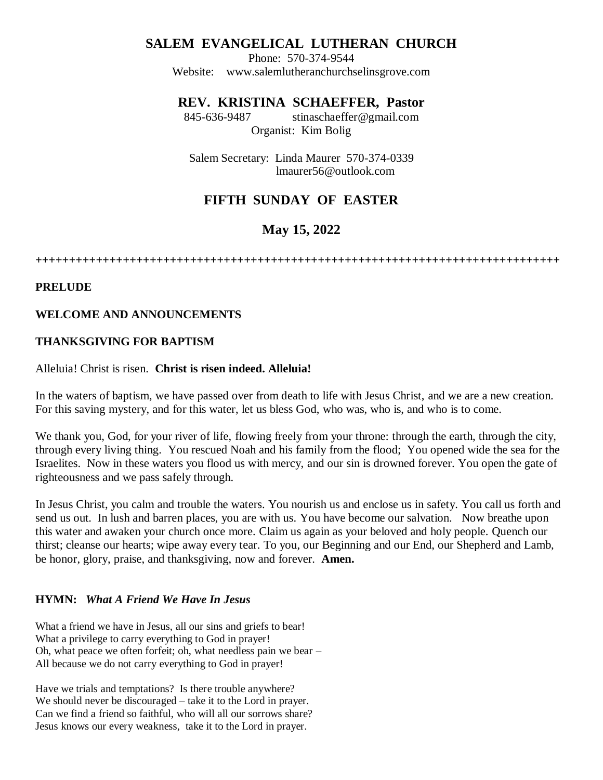# **SALEM EVANGELICAL LUTHERAN CHURCH**

Phone: 570-374-9544 Website: [www.salemlutheranchurchselinsgrove.com](http://www.salemlutheranchurchselinsgrove.com/)

## **REV. KRISTINA SCHAEFFER, Pastor**

845-636-9487 [stinaschaeffer@gmail.com](mailto:stinaschaeffer@gmail.com) Organist: Kim Bolig

Salem Secretary: Linda Maurer 570-374-0339 lmaurer56@outlook.com

# **FIFTH SUNDAY OF EASTER**

# **May 15, 2022**

**++++++++++++++++++++++++++++++++++++++++++++++++++++++++++++++++++++++++++++++**

### **PRELUDE**

### **WELCOME AND ANNOUNCEMENTS**

### **THANKSGIVING FOR BAPTISM**

#### Alleluia! Christ is risen. **Christ is risen indeed. Alleluia!**

In the waters of baptism, we have passed over from death to life with Jesus Christ, and we are a new creation. For this saving mystery, and for this water, let us bless God, who was, who is, and who is to come.

We thank you, God, for your river of life, flowing freely from your throne: through the earth, through the city, through every living thing. You rescued Noah and his family from the flood; You opened wide the sea for the Israelites. Now in these waters you flood us with mercy, and our sin is drowned forever. You open the gate of righteousness and we pass safely through.

In Jesus Christ, you calm and trouble the waters. You nourish us and enclose us in safety. You call us forth and send us out. In lush and barren places, you are with us. You have become our salvation. Now breathe upon this water and awaken your church once more. Claim us again as your beloved and holy people. Quench our thirst; cleanse our hearts; wipe away every tear. To you, our Beginning and our End, our Shepherd and Lamb, be honor, glory, praise, and thanksgiving, now and forever. **Amen.**

### **HYMN:** *What A Friend We Have In Jesus*

What a friend we have in Jesus, all our sins and griefs to bear! What a privilege to carry everything to God in prayer! Oh, what peace we often forfeit; oh, what needless pain we bear – All because we do not carry everything to God in prayer!

Have we trials and temptations? Is there trouble anywhere? We should never be discouraged – take it to the Lord in prayer. Can we find a friend so faithful, who will all our sorrows share? Jesus knows our every weakness, take it to the Lord in prayer.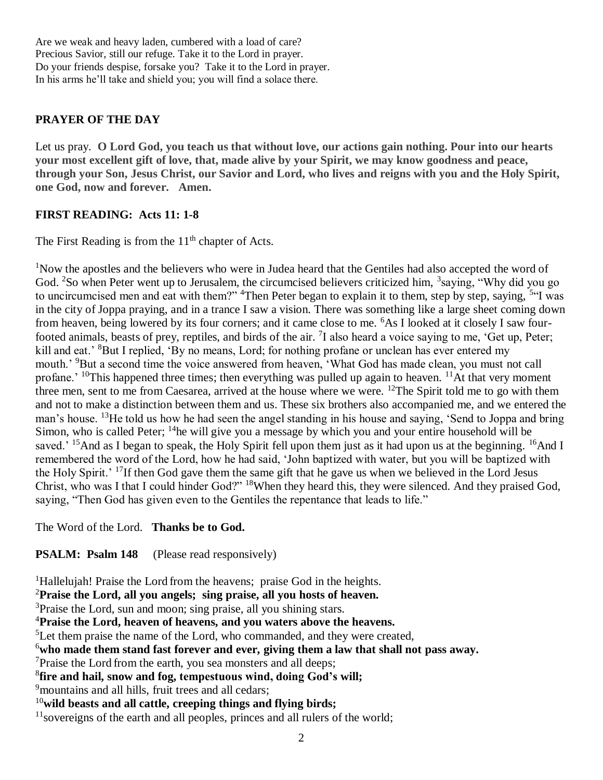Are we weak and heavy laden, cumbered with a load of care? Precious Savior, still our refuge. Take it to the Lord in prayer. Do your friends despise, forsake you? Take it to the Lord in prayer. In his arms he'll take and shield you; you will find a solace there.

## **PRAYER OF THE DAY**

Let us pray. **O Lord God, you teach us that without love, our actions gain nothing. Pour into our hearts your most excellent gift of love, that, made alive by your Spirit, we may know goodness and peace, through your Son, Jesus Christ, our Savior and Lord, who lives and reigns with you and the Holy Spirit, one God, now and forever. Amen.**

## **FIRST READING: Acts 11: 1-8**

The First Reading is from the  $11<sup>th</sup>$  chapter of Acts.

<sup>1</sup>Now the apostles and the believers who were in Judea heard that the Gentiles had also accepted the word of God. <sup>2</sup>So when Peter went up to Jerusalem, the circumcised believers criticized him, <sup>3</sup>saying, "Why did you go to uncircumcised men and eat with them?" <sup>4</sup>Then Peter began to explain it to them, step by step, saying, <sup>5"</sup>I was in the city of Joppa praying, and in a trance I saw a vision. There was something like a large sheet coming down from heaven, being lowered by its four corners; and it came close to me. <sup>6</sup>As I looked at it closely I saw fourfooted animals, beasts of prey, reptiles, and birds of the air.  $7$ I also heard a voice saying to me, 'Get up, Peter; kill and eat.' <sup>8</sup>But I replied, 'By no means, Lord; for nothing profane or unclean has ever entered my mouth.' <sup>9</sup>But a second time the voice answered from heaven, 'What God has made clean, you must not call profane.<sup>' 10</sup>This happened three times; then everything was pulled up again to heaven.<sup>'</sup> <sup>11</sup>At that very moment three men, sent to me from Caesarea, arrived at the house where we were. <sup>12</sup>The Spirit told me to go with them and not to make a distinction between them and us. These six brothers also accompanied me, and we entered the man's house. <sup>13</sup>He told us how he had seen the angel standing in his house and saying, 'Send to Joppa and bring Simon, who is called Peter;  $\frac{14}{1}$ he will give you a message by which you and your entire household will be saved.<sup>' 15</sup>And as I began to speak, the Holy Spirit fell upon them just as it had upon us at the beginning. <sup>16</sup>And I remembered the word of the Lord, how he had said, 'John baptized with water, but you will be baptized with the Holy Spirit.' <sup>17</sup>If then God gave them the same gift that he gave us when we believed in the Lord Jesus Christ, who was I that I could hinder God?" <sup>18</sup>When they heard this, they were silenced. And they praised God, saying, "Then God has given even to the Gentiles the repentance that leads to life."

## The Word of the Lord. **Thanks be to God.**

## **PSALM: Psalm 148** (Please read responsively)

<sup>1</sup>Hallelujah! Praise the Lord from the heavens; praise God in the heights.

<sup>2</sup>**Praise the Lord, all you angels; sing praise, all you hosts of heaven.**

<sup>3</sup>Praise the Lord, sun and moon; sing praise, all you shining stars.

<sup>4</sup>**Praise the Lord, heaven of heavens, and you waters above the heavens.**

<sup>5</sup>Let them praise the name of the Lord, who commanded, and they were created,

<sup>6</sup>**who made them stand fast forever and ever, giving them a law that shall not pass away.**

<sup>7</sup>Praise the Lord from the earth, you sea monsters and all deeps;

8 **fire and hail, snow and fog, tempestuous wind, doing God's will;**

<sup>9</sup>mountains and all hills, fruit trees and all cedars;

<sup>10</sup>**wild beasts and all cattle, creeping things and flying birds;**

 $11$ sovereigns of the earth and all peoples, princes and all rulers of the world;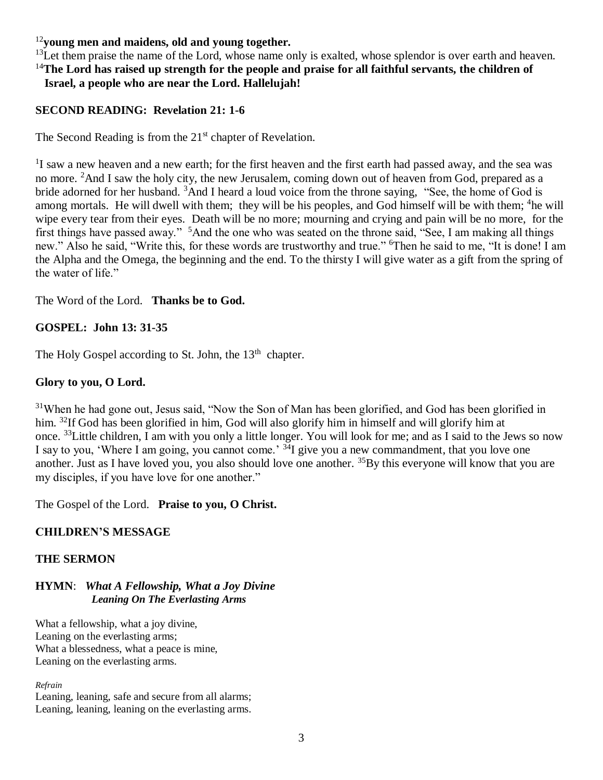## <sup>12</sup>**young men and maidens, old and young together.**

 $^{13}$ Let them praise the name of the Lord, whose name only is exalted, whose splendor is over earth and heaven. <sup>14</sup>**The Lord has raised up strength for the people and praise for all faithful servants, the children of Israel, a people who are near the Lord. Hallelujah!**

## **SECOND READING: Revelation 21: 1-6**

The Second Reading is from the  $21<sup>st</sup>$  chapter of Revelation.

<sup>1</sup>I saw a new heaven and a new earth; for the first heaven and the first earth had passed away, and the sea was no more. <sup>2</sup>And I saw the holy city, the new Jerusalem, coming down out of heaven from God, prepared as a bride adorned for her husband. <sup>3</sup>And I heard a loud voice from the throne saying, "See, the home of God is among mortals. He will dwell with them; they will be his peoples, and God himself will be with them; <sup>4</sup>he will wipe every tear from their eyes. Death will be no more; mourning and crying and pain will be no more, for the first things have passed away." <sup>5</sup>And the one who was seated on the throne said, "See, I am making all things new." Also he said, "Write this, for these words are trustworthy and true." <sup>6</sup>Then he said to me, "It is done! I am the Alpha and the Omega, the beginning and the end. To the thirsty I will give water as a gift from the spring of the water of life."

The Word of the Lord. **Thanks be to God.** 

## **GOSPEL: John 13: 31-35**

The Holy Gospel according to St. John, the 13<sup>th</sup> chapter.

## **Glory to you, O Lord.**

<sup>31</sup>When he had gone out, Jesus said, "Now the Son of Man has been glorified, and God has been glorified in him. <sup>32</sup>If God has been glorified in him, God will also glorify him in himself and will glorify him at once. <sup>33</sup>Little children, I am with you only a little longer. You will look for me; and as I said to the Jews so now I say to you, 'Where I am going, you cannot come.' <sup>34</sup>I give you a new commandment, that you love one another. Just as I have loved you, you also should love one another. <sup>35</sup>By this everyone will know that you are my disciples, if you have love for one another."

The Gospel of the Lord. **Praise to you, O Christ.** 

## **CHILDREN'S MESSAGE**

### **THE SERMON**

### **HYMN**: *What A Fellowship, What a Joy Divine Leaning On The Everlasting Arms*

What a fellowship, what a joy divine, Leaning on the everlasting arms; What a blessedness, what a peace is mine, Leaning on the everlasting arms.

*Refrain*

Leaning, leaning, safe and secure from all alarms; Leaning, leaning, leaning on the everlasting arms.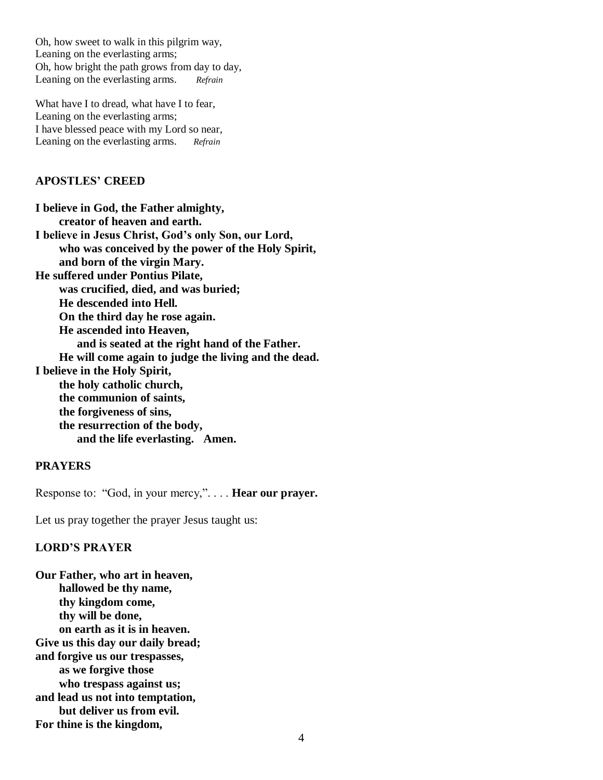Oh, how sweet to walk in this pilgrim way, Leaning on the everlasting arms; Oh, how bright the path grows from day to day, Leaning on the everlasting arms. *Refrain*

What have I to dread, what have I to fear, Leaning on the everlasting arms; I have blessed peace with my Lord so near, Leaning on the everlasting arms. *Refrain*

### **APOSTLES' CREED**

**I believe in God, the Father almighty, creator of heaven and earth. I believe in Jesus Christ, God's only Son, our Lord, who was conceived by the power of the Holy Spirit, and born of the virgin Mary. He suffered under Pontius Pilate, was crucified, died, and was buried; He descended into Hell. On the third day he rose again. He ascended into Heaven, and is seated at the right hand of the Father. He will come again to judge the living and the dead. I believe in the Holy Spirit, the holy catholic church, the communion of saints, the forgiveness of sins, the resurrection of the body, and the life everlasting. Amen.**

## **PRAYERS**

Response to: "God, in your mercy,". . . . **Hear our prayer.**

Let us pray together the prayer Jesus taught us:

#### **LORD'S PRAYER**

**Our Father, who art in heaven, hallowed be thy name, thy kingdom come, thy will be done, on earth as it is in heaven. Give us this day our daily bread; and forgive us our trespasses, as we forgive those who trespass against us; and lead us not into temptation, but deliver us from evil. For thine is the kingdom,**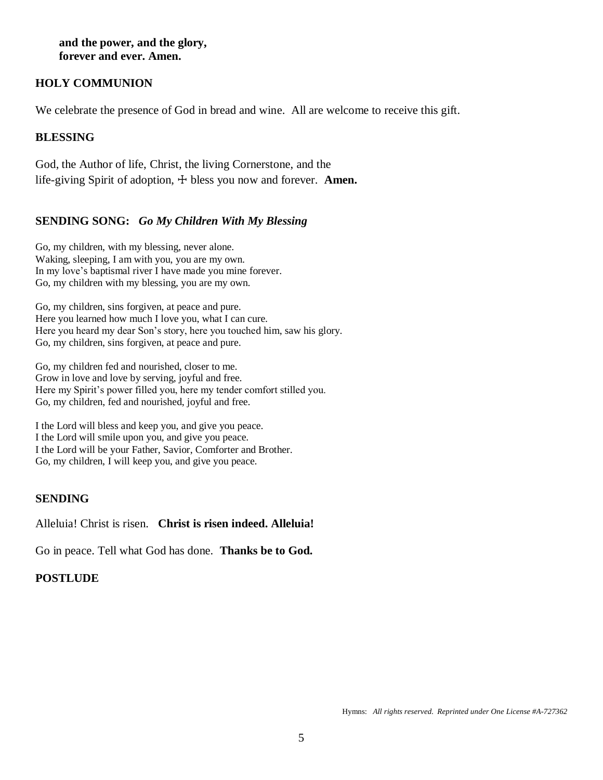**and the power, and the glory, forever and ever. Amen.**

### **HOLY COMMUNION**

We celebrate the presence of God in bread and wine. All are welcome to receive this gift.

## **BLESSING**

God, the Author of life, Christ, the living Cornerstone, and the life-giving Spirit of adoption,  $\pm$  bless you now and forever. **Amen.** 

### **SENDING SONG:** *Go My Children With My Blessing*

Go, my children, with my blessing, never alone. Waking, sleeping, I am with you, you are my own. In my love's baptismal river I have made you mine forever. Go, my children with my blessing, you are my own.

Go, my children, sins forgiven, at peace and pure. Here you learned how much I love you, what I can cure. Here you heard my dear Son's story, here you touched him, saw his glory. Go, my children, sins forgiven, at peace and pure.

Go, my children fed and nourished, closer to me. Grow in love and love by serving, joyful and free. Here my Spirit's power filled you, here my tender comfort stilled you. Go, my children, fed and nourished, joyful and free.

I the Lord will bless and keep you, and give you peace. I the Lord will smile upon you, and give you peace. I the Lord will be your Father, Savior, Comforter and Brother. Go, my children, I will keep you, and give you peace.

#### **SENDING**

Alleluia! Christ is risen. **Christ is risen indeed. Alleluia!**

Go in peace. Tell what God has done. **Thanks be to God.**

#### **POSTLUDE**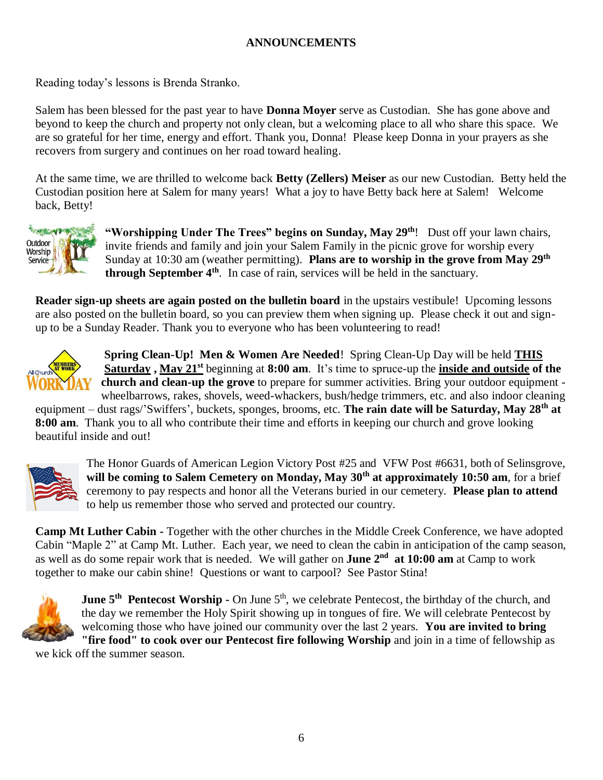## **ANNOUNCEMENTS**

Reading today's lessons is Brenda Stranko.

Salem has been blessed for the past year to have **Donna Moyer** serve as Custodian. She has gone above and beyond to keep the church and property not only clean, but a welcoming place to all who share this space. We are so grateful for her time, energy and effort. Thank you, Donna! Please keep Donna in your prayers as she recovers from surgery and continues on her road toward healing.

At the same time, we are thrilled to welcome back **Betty (Zellers) Meiser** as our new Custodian. Betty held the Custodian position here at Salem for many years! What a joy to have Betty back here at Salem! Welcome back, Betty!



**"Worshipping Under The Trees" begins on Sunday, May 29th**! Dust off your lawn chairs, invite friends and family and join your Salem Family in the picnic grove for worship every Sunday at 10:30 am (weather permitting). **Plans are to worship in the grove from May 29th through September 4th**. In case of rain, services will be held in the sanctuary.

**Reader sign-up sheets are again posted on the bulletin board** in the upstairs vestibule! Upcoming lessons are also posted on the bulletin board, so you can preview them when signing up. Please check it out and signup to be a Sunday Reader. Thank you to everyone who has been volunteering to read!



**Spring Clean-Up! Men & Women Are Needed**! Spring Clean-Up Day will be held **THIS Saturday , May 21st** beginning at **8:00 am**. It's time to spruce-up the **inside and outside of the church and clean-up the grove** to prepare for summer activities. Bring your outdoor equipment wheelbarrows, rakes, shovels, weed-whackers, bush/hedge trimmers, etc. and also indoor cleaning

equipment – dust rags/'Swiffers', buckets, sponges, brooms, etc. **The rain date will be Saturday, May 28th at 8:00 am**. Thank you to all who contribute their time and efforts in keeping our church and grove looking beautiful inside and out!



The Honor Guards of American Legion Victory Post #25 and VFW Post #6631, both of Selinsgrove, **will be coming to Salem Cemetery on Monday, May 30th at approximately 10:50 am**, for a brief ceremony to pay respects and honor all the Veterans buried in our cemetery. **Please plan to attend** to help us remember those who served and protected our country.

**Camp Mt Luther Cabin -** Together with the other churches in the Middle Creek Conference, we have adopted Cabin "Maple 2" at Camp Mt. Luther. Each year, we need to clean the cabin in anticipation of the camp season, as well as do some repair work that is needed. We will gather on **June 2<sup>nd</sup> at 10:00 am** at Camp to work together to make our cabin shine! Questions or want to carpool? See Pastor Stina!



**June 5<sup>th</sup>** Pentecost Worship - On June 5<sup>th</sup>, we celebrate Pentecost, the birthday of the church, and the day we remember the Holy Spirit showing up in tongues of fire. We will celebrate Pentecost by welcoming those who have joined our community over the last 2 years. **You are invited to bring "fire food" to cook over our Pentecost fire following Worship** and join in a time of fellowship as

we kick off the summer season.